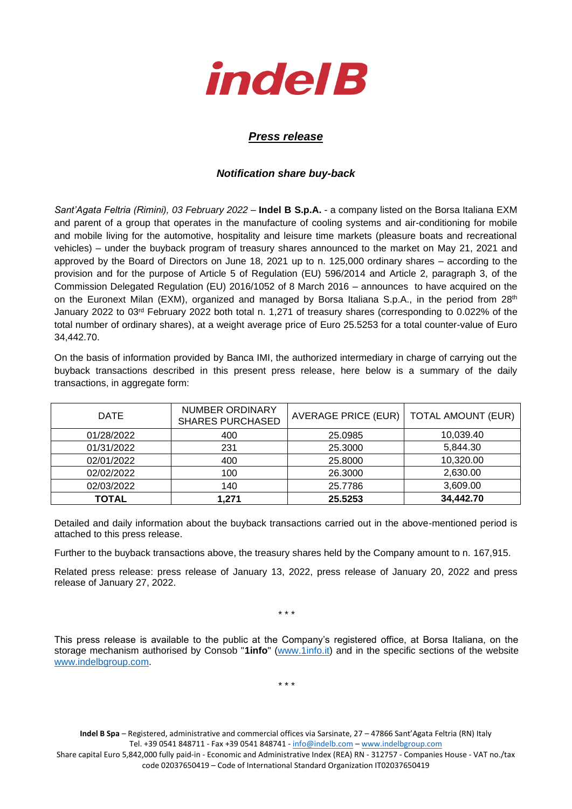

## *Press release*

## *Notification share buy-back*

*Sant'Agata Feltria (Rimini), 03 February 2022* – **Indel B S.p.A.** - a company listed on the Borsa Italiana EXM and parent of a group that operates in the manufacture of cooling systems and air-conditioning for mobile and mobile living for the automotive, hospitality and leisure time markets (pleasure boats and recreational vehicles) – under the buyback program of treasury shares announced to the market on May 21, 2021 and approved by the Board of Directors on June 18, 2021 up to n. 125,000 ordinary shares – according to the provision and for the purpose of Article 5 of Regulation (EU) 596/2014 and Article 2, paragraph 3, of the Commission Delegated Regulation (EU) 2016/1052 of 8 March 2016 – announces to have acquired on the on the Euronext Milan (EXM), organized and managed by Borsa Italiana S.p.A., in the period from 28<sup>th</sup> January 2022 to 03rd February 2022 both total n. 1,271 of treasury shares (corresponding to 0.022% of the total number of ordinary shares), at a weight average price of Euro 25.5253 for a total counter-value of Euro 34,442.70.

On the basis of information provided by Banca IMI, the authorized intermediary in charge of carrying out the buyback transactions described in this present press release, here below is a summary of the daily transactions, in aggregate form:

| <b>DATE</b>  | NUMBER ORDINARY<br><b>SHARES PURCHASED</b> | AVERAGE PRICE (EUR) | <b>TOTAL AMOUNT (EUR)</b> |
|--------------|--------------------------------------------|---------------------|---------------------------|
| 01/28/2022   | 400                                        | 25.0985             | 10,039.40                 |
| 01/31/2022   | 231                                        | 25.3000             | 5,844.30                  |
| 02/01/2022   | 400                                        | 25.8000             | 10,320.00                 |
| 02/02/2022   | 100                                        | 26.3000             | 2,630.00                  |
| 02/03/2022   | 140                                        | 25.7786             | 3,609.00                  |
| <b>TOTAL</b> | 1.271                                      | 25.5253             | 34,442.70                 |

Detailed and daily information about the buyback transactions carried out in the above-mentioned period is attached to this press release.

Further to the buyback transactions above, the treasury shares held by the Company amount to n. 167,915.

Related press release: press release of January 13, 2022, press release of January 20, 2022 and press release of January 27, 2022.

\* \* \*

This press release is available to the public at the Company's registered office, at Borsa Italiana, on the storage mechanism authorised by Consob "**1info**" [\(www.1info.it\)](file:///C:/Users/ddelietovollaro/AppData/Local/Microsoft/Windows/INetCache/Content.Outlook/T87B94UR/www.1info.it) and in the specific sections of the website [www.indelbgroup.com.](http://www.indelbgroup.com/)

\* \* \*

**Indel B Spa** – Registered, administrative and commercial offices via Sarsinate, 27 – 47866 Sant'Agata Feltria (RN) Italy Tel. +39 0541 848711 - Fax +39 0541 848741 - [info@indelb.com](mailto:info@indelb.com) – [www.indelbgroup.com](http://www.indelbgroup.com/)

Share capital Euro 5,842,000 fully paid-in - Economic and Administrative Index (REA) RN - 312757 - Companies House - VAT no./tax code 02037650419 – Code of International Standard Organization IT02037650419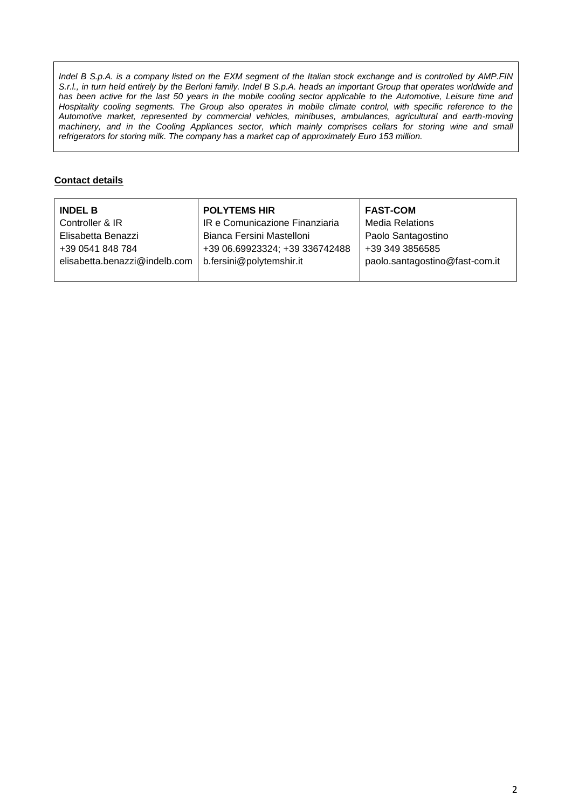*Indel B S.p.A. is a company listed on the EXM segment of the Italian stock exchange and is controlled by AMP.FIN S.r.l., in turn held entirely by the Berloni family. Indel B S.p.A. heads an important Group that operates worldwide and* has been active for the last 50 years in the mobile cooling sector applicable to the Automotive, Leisure time and Hospitality cooling segments. The Group also operates in mobile climate control, with specific reference to the *Automotive market, represented by commercial vehicles, minibuses, ambulances, agricultural and earth-moving machinery, and in the Cooling Appliances sector, which mainly comprises cellars for storing wine and small refrigerators for storing milk. The company has a market cap of approximately Euro 153 million.*

## **Contact details**

| <b>INDEL B</b>                | <b>POLYTEMS HIR</b>            | <b>FAST-COM</b>                |
|-------------------------------|--------------------------------|--------------------------------|
| Controller & IR               | IR e Comunicazione Finanziaria | <b>Media Relations</b>         |
| Elisabetta Benazzi            | Bianca Fersini Mastelloni      | Paolo Santagostino             |
| +39 0541 848 784              | +39 06.69923324; +39 336742488 | +39 349 3856585                |
| elisabetta.benazzi@indelb.com | b.fersini@polytemshir.it       | paolo.santagostino@fast-com.it |
|                               |                                |                                |